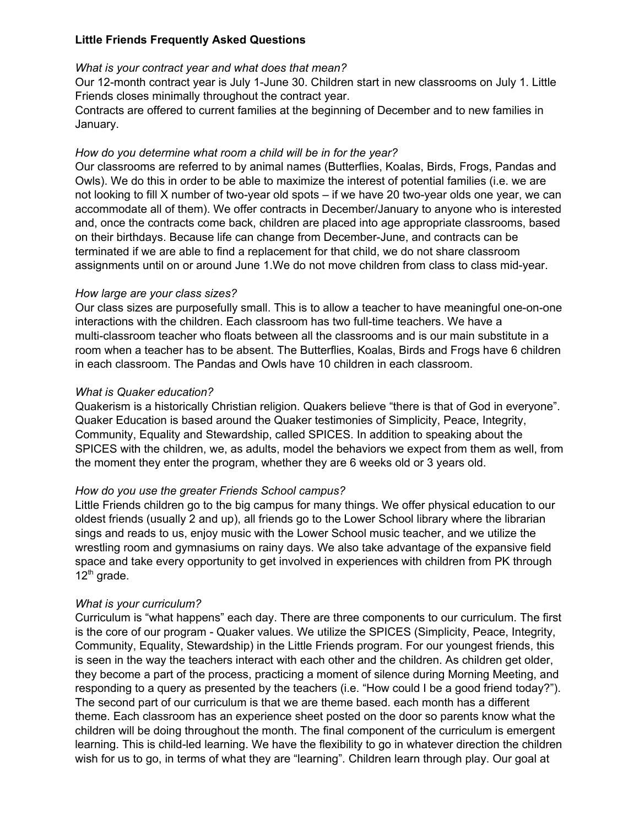# **Little Friends Frequently Asked Questions**

# *What is your contract year and what does that mean?*

Our 12-month contract year is July 1-June 30. Children start in new classrooms on July 1. Little Friends closes minimally throughout the contract year.

Contracts are offered to current families at the beginning of December and to new families in January.

# *How do you determine what room a child will be in for the year?*

Our classrooms are referred to by animal names (Butterflies, Koalas, Birds, Frogs, Pandas and Owls). We do this in order to be able to maximize the interest of potential families (i.e. we are not looking to fill X number of two-year old spots – if we have 20 two-year olds one year, we can accommodate all of them). We offer contracts in December/January to anyone who is interested and, once the contracts come back, children are placed into age appropriate classrooms, based on their birthdays. Because life can change from December-June, and contracts can be terminated if we are able to find a replacement for that child, we do not share classroom assignments until on or around June 1.We do not move children from class to class mid-year.

#### *How large are your class sizes?*

Our class sizes are purposefully small. This is to allow a teacher to have meaningful one-on-one interactions with the children. Each classroom has two full-time teachers. We have a multi-classroom teacher who floats between all the classrooms and is our main substitute in a room when a teacher has to be absent. The Butterflies, Koalas, Birds and Frogs have 6 children in each classroom. The Pandas and Owls have 10 children in each classroom.

# *What is Quaker education?*

Quakerism is a historically Christian religion. Quakers believe "there is that of God in everyone". Quaker Education is based around the Quaker testimonies of Simplicity, Peace, Integrity, Community, Equality and Stewardship, called SPICES. In addition to speaking about the SPICES with the children, we, as adults, model the behaviors we expect from them as well, from the moment they enter the program, whether they are 6 weeks old or 3 years old.

# *How do you use the greater Friends School campus?*

Little Friends children go to the big campus for many things. We offer physical education to our oldest friends (usually 2 and up), all friends go to the Lower School library where the librarian sings and reads to us, enjoy music with the Lower School music teacher, and we utilize the wrestling room and gymnasiums on rainy days. We also take advantage of the expansive field space and take every opportunity to get involved in experiences with children from PK through 12<sup>th</sup> grade.

# *What is your curriculum?*

Curriculum is "what happens" each day. There are three components to our curriculum. The first is the core of our program - Quaker values. We utilize the SPICES (Simplicity, Peace, Integrity, Community, Equality, Stewardship) in the Little Friends program. For our youngest friends, this is seen in the way the teachers interact with each other and the children. As children get older, they become a part of the process, practicing a moment of silence during Morning Meeting, and responding to a query as presented by the teachers (i.e. "How could I be a good friend today?"). The second part of our curriculum is that we are theme based. each month has a different theme. Each classroom has an experience sheet posted on the door so parents know what the children will be doing throughout the month. The final component of the curriculum is emergent learning. This is child-led learning. We have the flexibility to go in whatever direction the children wish for us to go, in terms of what they are "learning". Children learn through play. Our goal at